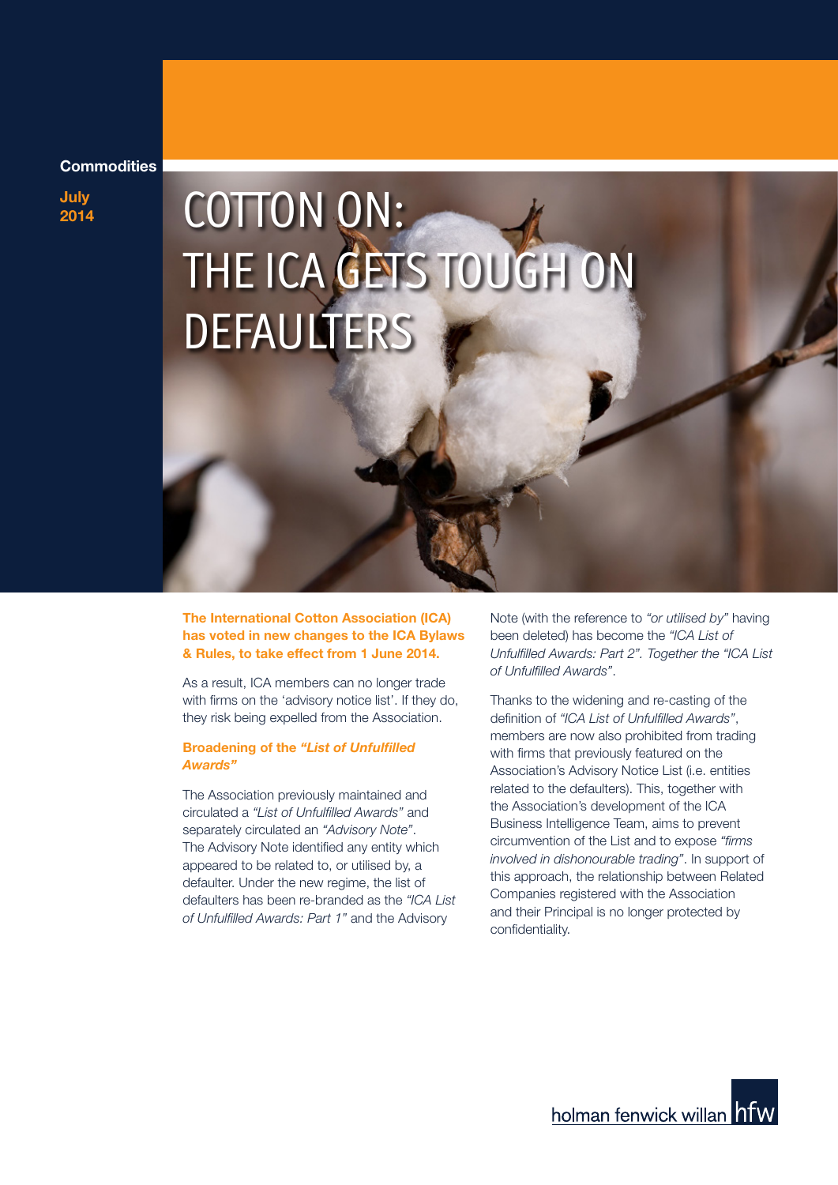## **Commodities**

**July**

# **2014 COTTON ON:** THE ICA GETS TOUGH ON **DEFAULTERS**

**The International Cotton Association (ICA) has voted in new changes to the ICA Bylaws & Rules, to take effect from 1 June 2014.**

As a result, ICA members can no longer trade with firms on the 'advisory notice list'. If they do, they risk being expelled from the Association.

# **Broadening of the** *"List of Unfulfilled Awards"*

The Association previously maintained and circulated a *"List of Unfulfilled Awards"* and separately circulated an *"Advisory Note"*. The Advisory Note identified any entity which appeared to be related to, or utilised by, a defaulter. Under the new regime, the list of defaulters has been re-branded as the *"ICA List of Unfulfilled Awards: Part 1"* and the Advisory

Note (with the reference to *"or utilised by"* having been deleted) has become the *"ICA List of Unfulfilled Awards: Part 2". Together the "ICA List of Unfulfilled Awards"*.

Thanks to the widening and re-casting of the definition of *"ICA List of Unfulfilled Awards"*, members are now also prohibited from trading with firms that previously featured on the Association's Advisory Notice List (i.e. entities related to the defaulters). This, together with the Association's development of the ICA Business Intelligence Team, aims to prevent circumvention of the List and to expose *"firms involved in dishonourable trading"*. In support of this approach, the relationship between Related Companies registered with the Association and their Principal is no longer protected by confidentiality.